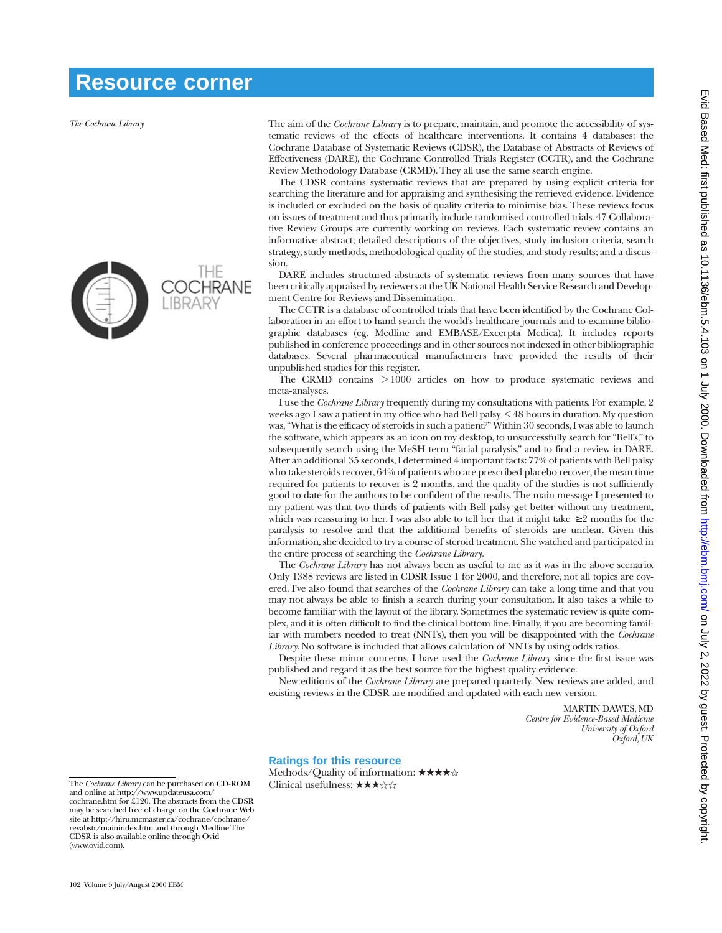## **Resource corner**

*The Cochrane Library*



The aim of the *Cochrane Library* is to prepare, maintain, and promote the accessibility of systematic reviews of the effects of healthcare interventions. It contains 4 databases: the Cochrane Database of Systematic Reviews (CDSR), the Database of Abstracts of Reviews of Effectiveness (DARE), the Cochrane Controlled Trials Register (CCTR), and the Cochrane Review Methodology Database (CRMD). They all use the same search engine.

The CDSR contains systematic reviews that are prepared by using explicit criteria for searching the literature and for appraising and synthesising the retrieved evidence. Evidence is included or excluded on the basis of quality criteria to minimise bias. These reviews focus on issues of treatment and thus primarily include randomised controlled trials. 47 Collaborative Review Groups are currently working on reviews. Each systematic review contains an informative abstract; detailed descriptions of the objectives, study inclusion criteria, search strategy, study methods, methodological quality of the studies, and study results; and a discussion.

DARE includes structured abstracts of systematic reviews from many sources that have been critically appraised by reviewers at the UK National Health Service Research and Development Centre for Reviews and Dissemination.

The CCTR is a database of controlled trials that have been identified by the Cochrane Collaboration in an effort to hand search the world's healthcare journals and to examine bibliographic databases (eg, Medline and EMBASE/Excerpta Medica). It includes reports published in conference proceedings and in other sources not indexed in other bibliographic databases. Several pharmaceutical manufacturers have provided the results of their unpublished studies for this register.

The CRMD contains > 1000 articles on how to produce systematic reviews and meta-analyses.

I use the *Cochrane Library* frequently during my consultations with patients. For example, 2 weeks ago I saw a patient in my office who had Bell palsy < 48 hours in duration. My question was, "What is the efficacy of steroids in such a patient?" Within 30 seconds, I was able to launch the software, which appears as an icon on my desktop, to unsuccessfully search for "Bell's," to subsequently search using the MeSH term "facial paralysis," and to find a review in DARE. After an additional 35 seconds, I determined 4 important facts: 77% of patients with Bell palsy who take steroids recover, 64% of patients who are prescribed placebo recover, the mean time required for patients to recover is 2 months, and the quality of the studies is not sufficiently good to date for the authors to be confident of the results. The main message I presented to my patient was that two thirds of patients with Bell palsy get better without any treatment, which was reassuring to her. I was also able to tell her that it might take  $\geq 2$  months for the paralysis to resolve and that the additional benefits of steroids are unclear. Given this information, she decided to try a course of steroid treatment. She watched and participated in the entire process of searching the *Cochrane Library*.

The *Cochrane Library* has not always been as useful to me as it was in the above scenario. Only 1388 reviews are listed in CDSR Issue 1 for 2000, and therefore, not all topics are covered. I've also found that searches of the *Cochrane Library* can take a long time and that you may not always be able to finish a search during your consultation. It also takes a while to become familiar with the layout of the library. Sometimes the systematic review is quite complex, and it is often difficult to find the clinical bottom line. Finally, if you are becoming familiar with numbers needed to treat (NNTs), then you will be disappointed with the *Cochrane Library*. No software is included that allows calculation of NNTs by using odds ratios.

Despite these minor concerns, I have used the *Cochrane Library* since the first issue was published and regard it as the best source for the highest quality evidence.

New editions of the *Cochrane Library* are prepared quarterly. New reviews are added, and existing reviews in the CDSR are modified and updated with each new version.

> MARTIN DAWES, MD *Centre for Evidence-Based Medicine University of Oxford Oxford, UK*

## **Ratings for this resource**

Methods/Quality of information:  $\star \star \star \star \star$ Clinical usefulness:  $\star\star\star\star$ ☆

The *Cochrane Library* can be purchased on CD-ROM and online at http://www.updateusa.com/ cochrane.htm for £120. The abstracts from the CDSR may be searched free of charge on the Cochrane Web site at http://hiru.mcmaster.ca/cochrane/cochrane/ revabstr/mainindex.htm and through Medline.The CDSR is also available online through Ovid (www.ovid.com).